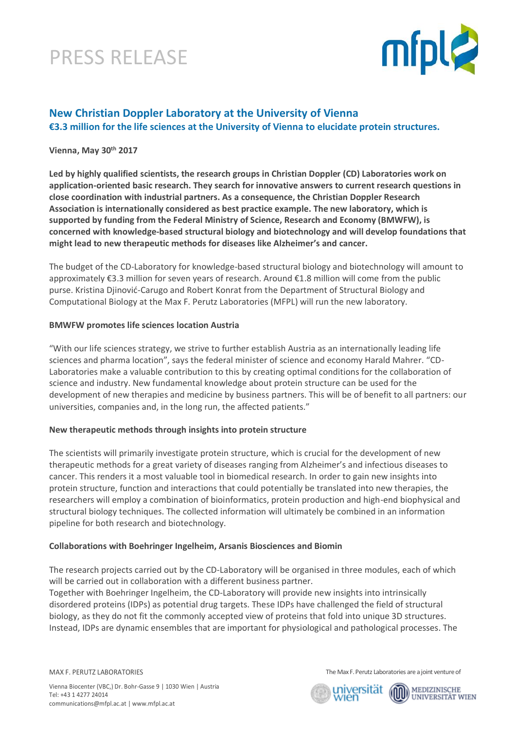## PRESS RELEASE



### **New Christian Doppler Laboratory at the University of Vienna €3.3 million for the life sciences at the University of Vienna to elucidate protein structures.**

### **Vienna, May 30th 2017**

**Led by highly qualified scientists, the research groups in Christian Doppler (CD) Laboratories work on application-oriented basic research. They search for innovative answers to current research questions in close coordination with industrial partners. As a consequence, the Christian Doppler Research Association is internationally considered as best practice example. The new laboratory, which is supported by funding from the Federal Ministry of Science, Research and Economy (BMWFW), is concerned with knowledge-based structural biology and biotechnology and will develop foundations that might lead to new therapeutic methods for diseases like Alzheimer's and cancer.** 

The budget of the CD-Laboratory for knowledge-based structural biology and biotechnology will amount to approximately €3.3 million for seven years of research. Around €1.8 million will come from the public purse. Kristina Djinović-Carugo and Robert Konrat from the Department of Structural Biology and Computational Biology at the Max F. Perutz Laboratories (MFPL) will run the new laboratory.

### **BMWFW promotes life sciences location Austria**

"With our life sciences strategy, we strive to further establish Austria as an internationally leading life sciences and pharma location", says the federal minister of science and economy Harald Mahrer. "CD-Laboratories make a valuable contribution to this by creating optimal conditions for the collaboration of science and industry. New fundamental knowledge about protein structure can be used for the development of new therapies and medicine by business partners. This will be of benefit to all partners: our universities, companies and, in the long run, the affected patients."

### **New therapeutic methods through insights into protein structure**

The scientists will primarily investigate protein structure, which is crucial for the development of new therapeutic methods for a great variety of diseases ranging from Alzheimer's and infectious diseases to cancer. This renders it a most valuable tool in biomedical research. In order to gain new insights into protein structure, function and interactions that could potentially be translated into new therapies, the researchers will employ a combination of bioinformatics, protein production and high-end biophysical and structural biology techniques. The collected information will ultimately be combined in an information pipeline for both research and biotechnology.

#### **Collaborations with Boehringer Ingelheim, Arsanis Biosciences and Biomin**

The research projects carried out by the CD-Laboratory will be organised in three modules, each of which will be carried out in collaboration with a different business partner.

Together with Boehringer Ingelheim, the CD-Laboratory will provide new insights into intrinsically disordered proteins (IDPs) as potential drug targets. These IDPs have challenged the field of structural biology, as they do not fit the commonly accepted view of proteins that fold into unique 3D structures. Instead, IDPs are dynamic ensembles that are important for physiological and pathological processes. The

MAX F. PERUTZ LABORATORIES

The Max F. Perutz Laboratories are a joint venture of



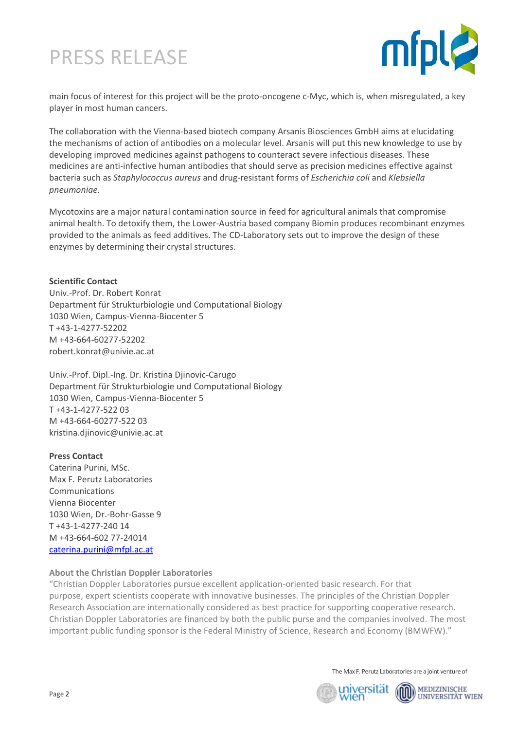# PRESS RELEASE



main focus of interest for this project will be the proto-oncogene c-Myc, which is, when misregulated, a key player in most human cancers.

The collaboration with the Vienna-based biotech company Arsanis Biosciences GmbH aims at elucidating the mechanisms of action of antibodies on a molecular level. Arsanis will put this new knowledge to use by developing improved medicines against pathogens to counteract severe infectious diseases. These medicines are anti-infective human antibodies that should serve as precision medicines effective against bacteria such as *Staphylococcus aureus* and drug-resistant forms of *Escherichia coli* and *Klebsiella pneumoniae.*

Mycotoxins are a major natural contamination source in feed for agricultural animals that compromise animal health. To detoxify them, the Lower-Austria based company Biomin produces recombinant enzymes provided to the animals as feed additives. The CD-Laboratory sets out to improve the design of these enzymes by determining their crystal structures.

### **Scientific Contact**

Univ.-Prof. Dr. Robert Konrat Department für Strukturbiologie und Computational Biology 1030 Wien, Campus-Vienna-Biocenter 5 T +43-1-4277-52202 M +43-664-60277-52202 [robert.konrat@univie.ac.at](mailto:robert.konrat@univie.ac.at)

Univ.-Prof. Dipl.-Ing. Dr. Kristina Djinovic-Carugo Department für Strukturbiologie und Computational Biology 1030 Wien, Campus-Vienna-Biocenter 5 T +43-1-4277-522 03 M +43-664-60277-522 03 [kristina.djinovic@univie.ac.at](mailto:kristina.djinovic@univie.ac.at)

### **Press Contact**

Caterina Purini, MSc. Max F. Perutz Laboratories Communications Vienna Biocenter 1030 Wien, Dr.-Bohr-Gasse 9 T +43-1-4277-240 14 M +43-664-602 77-24014 [caterina.purini@mfpl.ac.at](mailto:caterina.purini@mfpl.ac.at)

### **About the Christian Doppler Laboratories**

"Christian Doppler Laboratories pursue excellent application-oriented basic research. For that purpose, expert scientists cooperate with innovative businesses. The principles of the Christian Doppler Research Association are internationally considered as best practice for supporting cooperative research. Christian Doppler Laboratories are financed by both the public purse and the companies involved. The most important public funding sponsor is the Federal Ministry of Science, Research and Economy (BMWFW)."

The Max F. Perutz Laboratories are a joint venture of